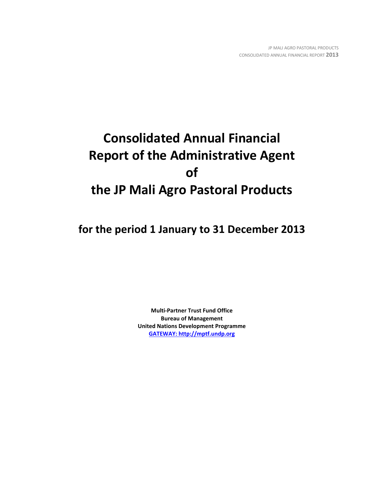# **Consolidated Annual Financial Report of the Administrative Agent of the JP Mali Agro Pastoral Products**

**for the period 1 January to 31 December 2013**

**Multi-Partner Trust Fund Office Bureau of Management United Nations Development Programme [GATEWAY: http://mptf.undp.org](http://mptf.undp.org/)**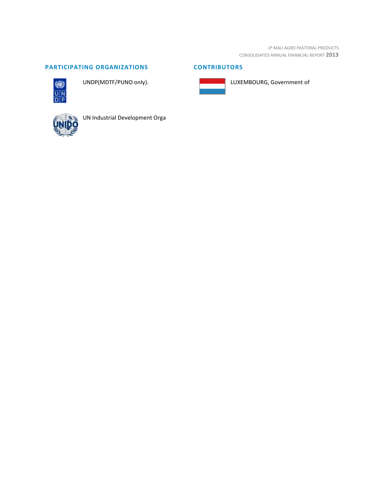JP MALI AGRO PASTORAL PRODUCTS CONSOLIDATED ANNUAL FINANCIAL REPORT **2013**

# **PARTICIPATING ORGANIZATIONS CONTRIBUTORS**



UNDP(MDTF/PUNO only).





LUXEMBOURG, Government of



UN Industrial Development Orga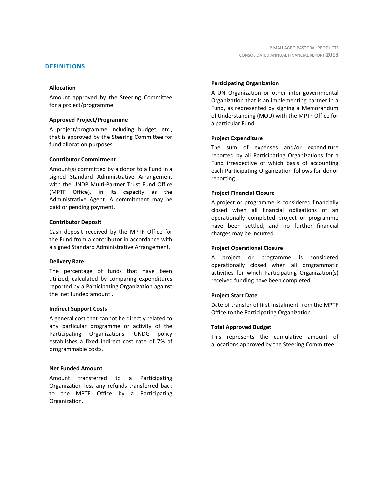#### **DEFINITIONS**

#### **Allocation**

Amount approved by the Steering Committee for a project/programme.

#### **Approved Project/Programme**

A project/programme including budget, etc., that is approved by the Steering Committee for fund allocation purposes.

#### **Contributor Commitment**

Amount(s) committed by a donor to a Fund in a signed Standard Administrative Arrangement with the UNDP Multi-Partner Trust Fund Office (MPTF Office), in its capacity as the Administrative Agent. A commitment may be paid or pending payment.

#### **Contributor Deposit**

Cash deposit received by the MPTF Office for the Fund from a contributor in accordance with a signed Standard Administrative Arrangement.

#### **Delivery Rate**

The percentage of funds that have been utilized, calculated by comparing expenditures reported by a Participating Organization against the 'net funded amount'.

#### **Indirect Support Costs**

A general cost that cannot be directly related to any particular programme or activity of the Participating Organizations. UNDG policy establishes a fixed indirect cost rate of 7% of programmable costs.

#### **Net Funded Amount**

Amount transferred to a Participating Organization less any refunds transferred back to the MPTF Office by a Participating Organization.

#### **Participating Organization**

A UN Organization or other inter-governmental Organization that is an implementing partner in a Fund, as represented by signing a Memorandum of Understanding (MOU) with the MPTF Office for a particular Fund.

#### **Project Expenditure**

The sum of expenses and/or expenditure reported by all Participating Organizations for a Fund irrespective of which basis of accounting each Participating Organization follows for donor reporting.

#### **Project Financial Closure**

A project or programme is considered financially closed when all financial obligations of an operationally completed project or programme have been settled, and no further financial charges may be incurred.

#### **Project Operational Closure**

A project or programme is considered operationally closed when all programmatic activities for which Participating Organization(s) received funding have been completed.

#### **Project Start Date**

Date of transfer of first instalment from the MPTF Office to the Participating Organization.

#### **Total Approved Budget**

This represents the cumulative amount of allocations approved by the Steering Committee.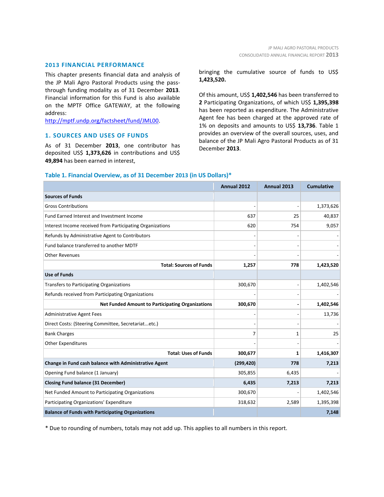## **2013 FINANCIAL PERFORMANCE**

This chapter presents financial data and analysis of the JP Mali Agro Pastoral Products using the passthrough funding modality as of 31 December **2013**. Financial information for this Fund is also available on the MPTF Office GATEWAY, at the following address:

[http://mptf.undp.org/factsheet/fund/JML00.](http://mptf.undp.org/factsheet/fund/JML00)

#### **1. SOURCES AND USES OF FUNDS**

As of 31 December **2013**, one contributor has deposited US\$ **1,373,626** in contributions and US\$ **49,894** has been earned in interest,

bringing the cumulative source of funds to US\$ **1,423,520.** 

Of this amount, US\$ **1,402,546** has been transferred to **2** Participating Organizations, of which US\$ **1,395,398** has been reported as expenditure. The Administrative Agent fee has been charged at the approved rate of 1% on deposits and amounts to US\$ **13,736**. Table 1 provides an overview of the overall sources, uses, and balance of the JP Mali Agro Pastoral Products as of 31 December **2013**.

#### **Table 1. Financial Overview, as of 31 December 2013 (in US Dollars)\***

|                                                           | Annual 2012 | Annual 2013 | <b>Cumulative</b> |
|-----------------------------------------------------------|-------------|-------------|-------------------|
| <b>Sources of Funds</b>                                   |             |             |                   |
| <b>Gross Contributions</b>                                |             |             | 1,373,626         |
| Fund Earned Interest and Investment Income                | 637         | 25          | 40,837            |
| Interest Income received from Participating Organizations | 620         | 754         | 9,057             |
| Refunds by Administrative Agent to Contributors           |             |             |                   |
| Fund balance transferred to another MDTF                  |             |             |                   |
| <b>Other Revenues</b>                                     |             |             |                   |
| <b>Total: Sources of Funds</b>                            | 1,257       | 778         | 1,423,520         |
| <b>Use of Funds</b>                                       |             |             |                   |
| Transfers to Participating Organizations                  | 300,670     |             | 1,402,546         |
| Refunds received from Participating Organizations         |             |             |                   |
| <b>Net Funded Amount to Participating Organizations</b>   | 300,670     |             | 1,402,546         |
| <b>Administrative Agent Fees</b>                          |             |             | 13,736            |
| Direct Costs: (Steering Committee, Secretariatetc.)       |             |             |                   |
| <b>Bank Charges</b>                                       | 7           | 1           | 25                |
| <b>Other Expenditures</b>                                 |             |             |                   |
| <b>Total: Uses of Funds</b>                               | 300,677     | 1           | 1,416,307         |
| Change in Fund cash balance with Administrative Agent     | (299, 420)  | 778         | 7,213             |
| Opening Fund balance (1 January)                          | 305,855     | 6,435       |                   |
| <b>Closing Fund balance (31 December)</b>                 | 6,435       | 7,213       | 7,213             |
| Net Funded Amount to Participating Organizations          | 300,670     |             | 1,402,546         |
| Participating Organizations' Expenditure                  | 318,632     | 2,589       | 1,395,398         |
| <b>Balance of Funds with Participating Organizations</b>  |             |             | 7,148             |

\* Due to rounding of numbers, totals may not add up. This applies to all numbers in this report.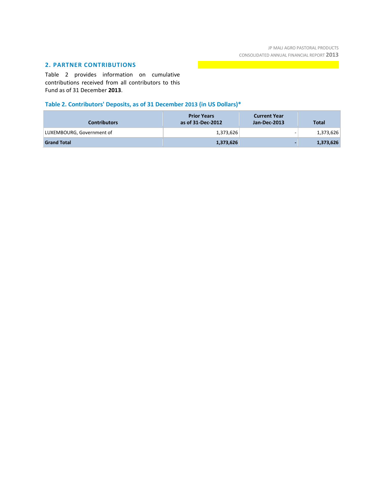## **2. PARTNER CONTRIBUTIONS**

Table 2 provides information on cumulative contributions received from all contributors to this Fund as of 31 December **2013**.

# **Table 2. Contributors' Deposits, as of 31 December 2013 (in US Dollars)\***

| <b>Contributors</b>       | <b>Prior Years</b><br>as of 31-Dec-2012 | <b>Current Year</b><br>Jan-Dec-2013 | <b>Total</b> |
|---------------------------|-----------------------------------------|-------------------------------------|--------------|
| LUXEMBOURG, Government of | 1,373,626                               | -                                   | 1,373,626    |
| <b>Grand Total</b>        | 1,373,626                               |                                     | 1,373,626    |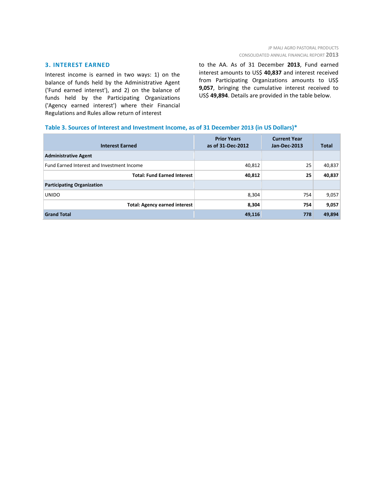## **3. INTEREST EARNED**

Interest income is earned in two ways: 1) on the balance of funds held by the Administrative Agent ('Fund earned interest'), and 2) on the balance of funds held by the Participating Organizations ('Agency earned interest') where their Financial Regulations and Rules allow return of interest

to the AA. As of 31 December **2013**, Fund earned interest amounts to US\$ **40,837** and interest received from Participating Organizations amounts to US\$ **9,057**, bringing the cumulative interest received to US\$ **49,894**. Details are provided in the table below.

#### **Table 3. Sources of Interest and Investment Income, as of 31 December 2013 (in US Dollars)\***

| <b>Interest Earned</b>                     | <b>Prior Years</b><br>as of 31-Dec-2012 | <b>Current Year</b><br>Jan-Dec-2013 | <b>Total</b> |
|--------------------------------------------|-----------------------------------------|-------------------------------------|--------------|
| <b>Administrative Agent</b>                |                                         |                                     |              |
| Fund Earned Interest and Investment Income | 40,812                                  | 25                                  | 40,837       |
| <b>Total: Fund Earned Interest</b>         | 40,812                                  | 25                                  | 40,837       |
| <b>Participating Organization</b>          |                                         |                                     |              |
| <b>UNIDO</b>                               | 8,304                                   | 754                                 | 9,057        |
| <b>Total: Agency earned interest</b>       | 8,304                                   | 754                                 | 9,057        |
| <b>Grand Total</b>                         | 49,116                                  | 778                                 | 49,894       |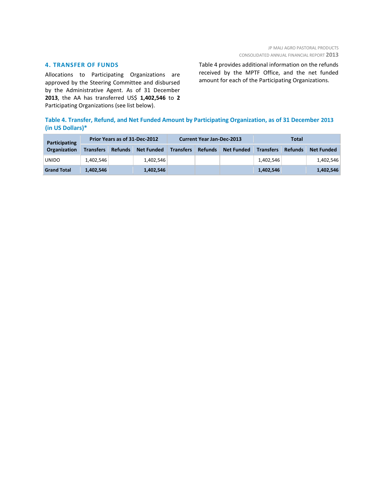## **4. TRANSFER OF FUNDS**

Allocations to Participating Organizations are approved by the Steering Committee and disbursed by the Administrative Agent. As of 31 December **2013**, the AA has transferred US\$ **1,402,546** to **2** Participating Organizations (see list below).

Table 4 provides additional information on the refunds received by the MPTF Office, and the net funded amount for each of the Participating Organizations.

## **Table 4. Transfer, Refund, and Net Funded Amount by Participating Organization, as of 31 December 2013 (in US Dollars)\***

| Participating       | Prior Years as of 31-Dec-2012 |                |                   | <b>Current Year Jan-Dec-2013</b> |                |                   | Total            |                |                   |
|---------------------|-------------------------------|----------------|-------------------|----------------------------------|----------------|-------------------|------------------|----------------|-------------------|
| <b>Organization</b> | <b>Transfers</b>              | <b>Refunds</b> | <b>Net Funded</b> | <b>Transfers</b>                 | <b>Refunds</b> | <b>Net Funded</b> | <b>Transfers</b> | <b>Refunds</b> | <b>Net Funded</b> |
| <b>UNIDO</b>        | 1,402,546                     |                | 1,402,546         |                                  |                |                   | 1.402.546        |                | 1,402,546         |
| <b>Grand Total</b>  | 1,402,546                     |                | 1,402,546         |                                  |                |                   | 1,402,546        |                | 1,402,546         |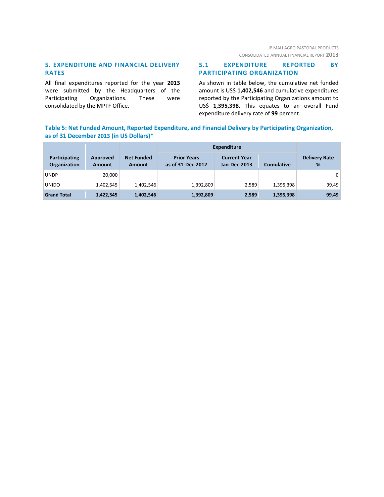## **5. EXPENDITURE AND FINANCIAL DELIVERY RATES**

All final expenditures reported for the year **2013** were submitted by the Headquarters of the Participating Organizations. These were consolidated by the MPTF Office.

## **5.1 EXPENDITURE REPORTED BY PARTICIPATING ORGANIZATION**

As shown in table below, the cumulative net funded amount is US\$ **1,402,546** and cumulative expenditures reported by the Participating Organizations amount to US\$ **1,395,398**. This equates to an overall Fund expenditure delivery rate of **99** percent.

## **Table 5: Net Funded Amount, Reported Expenditure, and Financial Delivery by Participating Organization, as of 31 December 2013 (in US Dollars)\***

|                                      |                           |                                    | <b>Expenditure</b>                      |                                     |                   |                           |
|--------------------------------------|---------------------------|------------------------------------|-----------------------------------------|-------------------------------------|-------------------|---------------------------|
| Participating<br><b>Organization</b> | Approved<br><b>Amount</b> | <b>Net Funded</b><br><b>Amount</b> | <b>Prior Years</b><br>as of 31-Dec-2012 | <b>Current Year</b><br>Jan-Dec-2013 | <b>Cumulative</b> | <b>Delivery Rate</b><br>% |
| <b>UNDP</b>                          | 20.000                    |                                    |                                         |                                     |                   | $\overline{0}$            |
| <b>UNIDO</b>                         | 1,402,545                 | 1,402,546                          | 1,392,809                               | 2,589                               | 1,395,398         | 99.49                     |
| <b>Grand Total</b>                   | 1,422,545                 | 1,402,546                          | 1,392,809                               | 2,589                               | 1,395,398         | 99.49                     |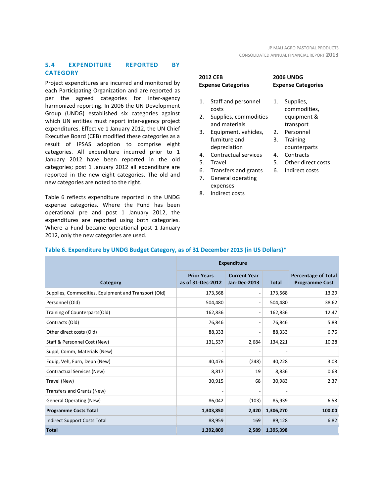## **5.4 EXPENDITURE REPORTED BY CATEGORY**

Project expenditures are incurred and monitored by each Participating Organization and are reported as per the agreed categories for inter-agency harmonized reporting. In 2006 the UN Development Group (UNDG) established six categories against which UN entities must report inter-agency project expenditures. Effective 1 January 2012, the UN Chief Executive Board (CEB) modified these categories as a result of IPSAS adoption to comprise eight categories. All expenditure incurred prior to 1 January 2012 have been reported in the old categories; post 1 January 2012 all expenditure are reported in the new eight categories. The old and new categories are noted to the right.

Table 6 reflects expenditure reported in the UNDG expense categories. Where the Fund has been operational pre and post 1 January 2012, the expenditures are reported using both categories. Where a Fund became operational post 1 January 2012, only the new categories are used.

| <b>2012 CEB</b><br><b>Expense Categories</b> |                              | <b>2006 UNDG</b><br><b>Expense Ca</b> |                  |  |
|----------------------------------------------|------------------------------|---------------------------------------|------------------|--|
| 1.                                           | Staff and personnel<br>costs | 1.                                    | Supplie<br>commo |  |
| 2.                                           | Supplies, commodities        |                                       | equipn           |  |
|                                              | and materials                |                                       | transp           |  |
| 3.                                           | Equipment, vehicles,         | 2.                                    | Person           |  |
|                                              | furniture and                | 3.                                    | Trainin          |  |
|                                              | depreciation                 |                                       | counte           |  |
| 4.                                           | Contractual services         | 4.                                    | Contra           |  |
| 5.                                           | Travel                       | 5.                                    | Other            |  |
| 6.                                           | Transfers and grants         | 6.                                    | Indirec          |  |
|                                              |                              |                                       |                  |  |

- 7. General operating expenses
- 8. Indirect costs

| <b>2006 UNDG</b><br><b>Expense Categories</b> |           |  |  |
|-----------------------------------------------|-----------|--|--|
| 1.                                            | Supplies, |  |  |

- odities, nent & ort **nel**
- 3. Training erparts
- ncts
- direct costs
- t costs

|                                                      | <b>Expenditure</b>                      |                                            |              |                                                     |
|------------------------------------------------------|-----------------------------------------|--------------------------------------------|--------------|-----------------------------------------------------|
| Category                                             | <b>Prior Years</b><br>as of 31-Dec-2012 | <b>Current Year</b><br><b>Jan-Dec-2013</b> | <b>Total</b> | <b>Percentage of Total</b><br><b>Programme Cost</b> |
| Supplies, Commodities, Equipment and Transport (Old) | 173,568                                 | $\overline{a}$                             | 173,568      | 13.29                                               |
| Personnel (Old)                                      | 504,480                                 | $\overline{a}$                             | 504,480      | 38.62                                               |
| Training of Counterparts(Old)                        | 162,836                                 | $\overline{a}$                             | 162,836      | 12.47                                               |
| Contracts (Old)                                      | 76,846                                  | $\overline{a}$                             | 76,846       | 5.88                                                |
| Other direct costs (Old)                             | 88,333                                  | $\overline{a}$                             | 88,333       | 6.76                                                |
| Staff & Personnel Cost (New)                         | 131,537                                 | 2,684                                      | 134,221      | 10.28                                               |
| Suppl, Comm, Materials (New)                         |                                         |                                            |              |                                                     |
| Equip, Veh, Furn, Depn (New)                         | 40,476                                  | (248)                                      | 40,228       | 3.08                                                |
| Contractual Services (New)                           | 8,817                                   | 19                                         | 8,836        | 0.68                                                |
| Travel (New)                                         | 30,915                                  | 68                                         | 30,983       | 2.37                                                |
| Transfers and Grants (New)                           |                                         |                                            |              |                                                     |
| <b>General Operating (New)</b>                       | 86,042                                  | (103)                                      | 85,939       | 6.58                                                |
| <b>Programme Costs Total</b>                         | 1,303,850                               | 2,420                                      | 1,306,270    | 100.00                                              |
| Indirect Support Costs Total                         | 88,959                                  | 169                                        | 89,128       | 6.82                                                |
| <b>Total</b>                                         | 1,392,809                               | 2,589                                      | 1,395,398    |                                                     |

## **Table 6. Expenditure by UNDG Budget Category, as of 31 December 2013 (in US Dollars)\***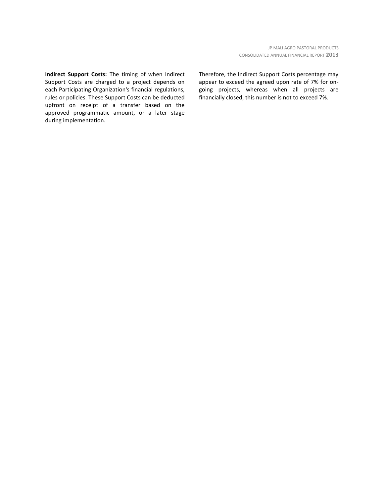**Indirect Support Costs:** The timing of when Indirect Support Costs are charged to a project depends on each Participating Organization's financial regulations, rules or policies. These Support Costs can be deducted upfront on receipt of a transfer based on the approved programmatic amount, or a later stage during implementation.

Therefore, the Indirect Support Costs percentage may appear to exceed the agreed upon rate of 7% for ongoing projects, whereas when all projects are financially closed, this number is not to exceed 7%.